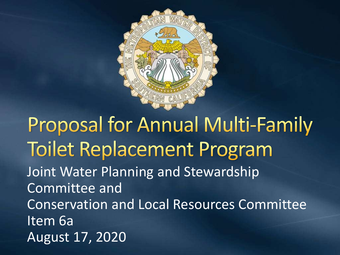

**Proposal for Annual Multi-Family Toilet Replacement Program** Joint Water Planning and Stewardship Committee and Conservation and Local Resources Committee Item 6a August 17, 2020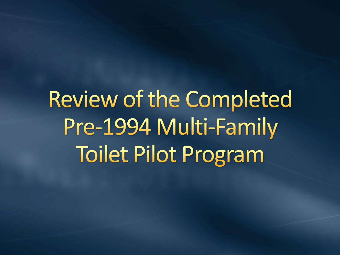Review of the Completed Pre-1994 Multi-Family **Toilet Pilot Program**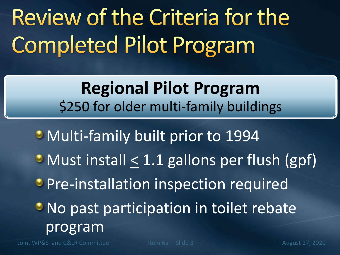## Review of the Criteria for the **Completed Pilot Program**

**Regional Pilot Program** \$250 for older multi-family buildings

Multi-family built prior to 1994  $\bullet$  Must install  $\leq 1.1$  gallons per flush (gpf) **Pre-installation inspection required • No past participation in toilet rebate** program

Joint WP&S and C&LR Committee Item 6a Slide 3 August 17, 2020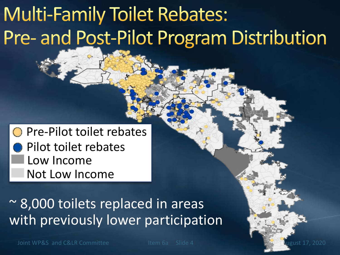### **Multi-Family Toilet Rebates:** Pre- and Post-Pilot Program Distribution

**○ Pre-Pilot toilet rebates** Pilot toilet rebates Low Income Not Low Income

~ 8,000 toilets replaced in areas with previously lower participation

Joint WP&S and C&LR Committee Item 6a Slide 4 August 17, 2020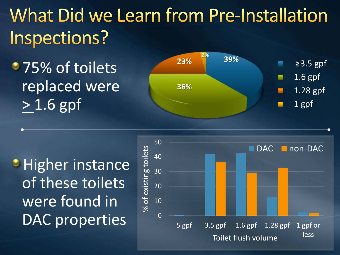What Did we Learn from Pre-Installation Inspections?

• 75% of toilets replaced were > 1.6 gpf



**Higher instance** of these toilets were found in DAC properties

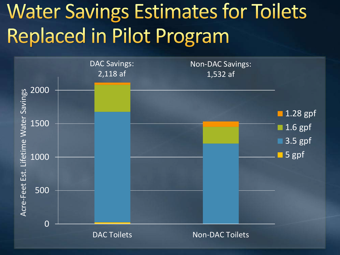### **Water Savings Estimates for Toilets** Replaced in Pilot Program

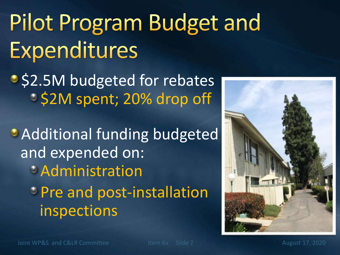## Pilot Program Budget and Expenditures

**S2.5M budgeted for rebates S2M spent; 20% drop off** 

**Additional funding budgeted** and expended on: Administration *Pre and post-installation* inspections

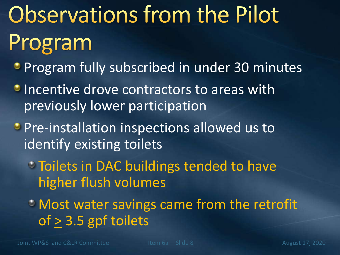# **Observations from the Pilot** Program

- **Program fully subscribed in under 30 minutes**
- **Incentive drove contractors to areas with** previously lower participation
- **Pre-installation inspections allowed us to** identify existing toilets
	- Toilets in DAC buildings tended to have higher flush volumes
	- Most water savings came from the retrofit of > 3.5 gpf toilets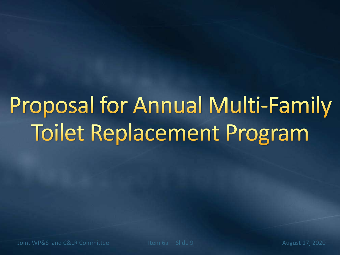## **Proposal for Annual Multi-Family Toilet Replacement Program**

Joint WP&S and C&LR Committee Item 6a Slide 9 August 17, 2020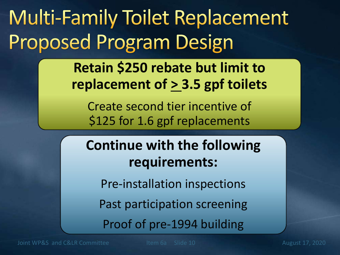### **Multi-Family Toilet Replacement Proposed Program Design**

**Retain \$250 rebate but limit to replacement of > 3.5 gpf toilets**

Create second tier incentive of \$125 for 1.6 gpf replacements

#### **Continue with the following requirements:**

Pre-installation inspections

Past participation screening

Proof of pre-1994 building

Joint WP&S and C&LR Committee Item 6a Slide 10 August 17, 2020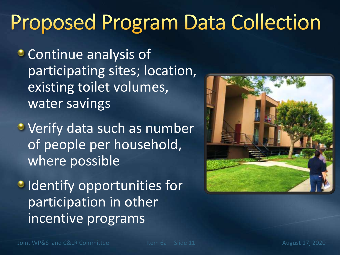### **Proposed Program Data Collection**

**Continue analysis of** participating sites; location, existing toilet volumes, water savings

**•** Verify data such as number of people per household, where possible

**IDENTIFY opportunities for** participation in other incentive programs

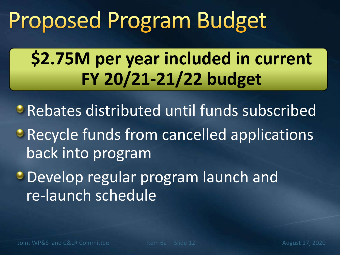## Proposed Program Budget

### **\$2.75M per year included in current FY 20/21-21/22 budget**

**• Rebates distributed until funds subscribed • Recycle funds from cancelled applications** back into program

**Develop regular program launch and** re-launch schedule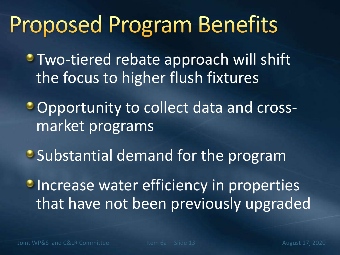### **Proposed Program Benefits**

**• Two-tiered rebate approach will shift** the focus to higher flush fixtures

Opportunity to collect data and crossmarket programs

**Substantial demand for the program** 

**Increase water efficiency in properties** that have not been previously upgraded

Joint WP&S and C&LR Committee The Item 6a Slide 13 August 17, 2020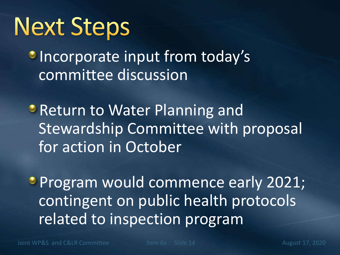## **Next Steps**

**Incorporate input from today's** committee discussion

**• Return to Water Planning and** Stewardship Committee with proposal for action in October

**Program would commence early 2021;** contingent on public health protocols related to inspection program

Joint WP&S and C&LR Committee The Item 6a Slide 14 August 17, 2020